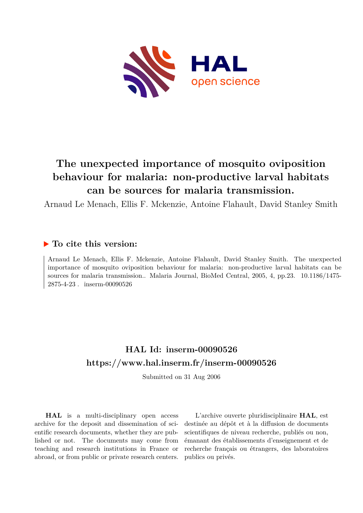

# **The unexpected importance of mosquito oviposition behaviour for malaria: non-productive larval habitats can be sources for malaria transmission.**

Arnaud Le Menach, Ellis F. Mckenzie, Antoine Flahault, David Stanley Smith

# **To cite this version:**

Arnaud Le Menach, Ellis F. Mckenzie, Antoine Flahault, David Stanley Smith. The unexpected importance of mosquito oviposition behaviour for malaria: non-productive larval habitats can be sources for malaria transmission.. Malaria Journal, BioMed Central, 2005, 4, pp.23. 10.1186/1475- $2875-4-23$ . inserm-00090526

# **HAL Id: inserm-00090526 <https://www.hal.inserm.fr/inserm-00090526>**

Submitted on 31 Aug 2006

**HAL** is a multi-disciplinary open access archive for the deposit and dissemination of scientific research documents, whether they are published or not. The documents may come from teaching and research institutions in France or abroad, or from public or private research centers.

L'archive ouverte pluridisciplinaire **HAL**, est destinée au dépôt et à la diffusion de documents scientifiques de niveau recherche, publiés ou non, émanant des établissements d'enseignement et de recherche français ou étrangers, des laboratoires publics ou privés.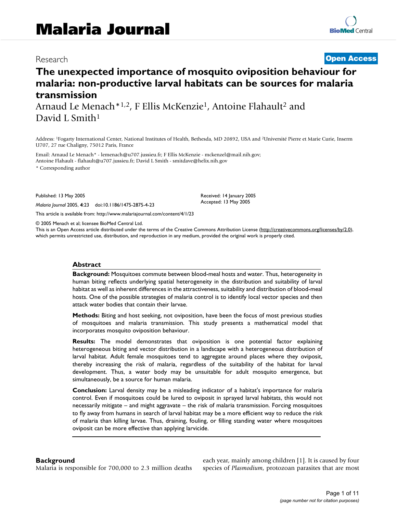## Research **[Open Access](http://www.biomedcentral.com/info/about/charter/)**

# **The unexpected importance of mosquito oviposition behaviour for malaria: non-productive larval habitats can be sources for malaria transmission**

Arnaud Le Menach\*1,2, F Ellis McKenzie<sup>1</sup>, Antoine Flahault<sup>2</sup> and David L Smith<sup>1</sup>

Address: <sup>1</sup>Fogarty International Center, National Institutes of Health, Bethesda, MD 20892, USA and <sup>2</sup>Université Pierre et Marie Curie, Inserm U707, 27 rue Chaligny, 75012 Paris, France

Email: Arnaud Le Menach\* - lemenach@u707.jussieu.fr; F Ellis McKenzie - mckenzel@mail.nih.gov; Antoine Flahault - flahault@u707.jussieu.fr; David L Smith - smitdave@helix.nih.gov

\* Corresponding author

Published: 13 May 2005

*Malaria Journal* 2005, **4**:23 doi:10.1186/1475-2875-4-23

[This article is available from: http://www.malariajournal.com/content/4/1/23](http://www.malariajournal.com/content/4/1/23)

© 2005 Menach et al; licensee BioMed Central Ltd.

This is an Open Access article distributed under the terms of the Creative Commons Attribution License [\(http://creativecommons.org/licenses/by/2.0\)](http://creativecommons.org/licenses/by/2.0), which permits unrestricted use, distribution, and reproduction in any medium, provided the original work is properly cited.

Received: 14 January 2005 Accepted: 13 May 2005

#### **Abstract**

**Background:** Mosquitoes commute between blood-meal hosts and water. Thus, heterogeneity in human biting reflects underlying spatial heterogeneity in the distribution and suitability of larval habitat as well as inherent differences in the attractiveness, suitability and distribution of blood-meal hosts. One of the possible strategies of malaria control is to identify local vector species and then attack water bodies that contain their larvae.

**Methods:** Biting and host seeking, not oviposition, have been the focus of most previous studies of mosquitoes and malaria transmission. This study presents a mathematical model that incorporates mosquito oviposition behaviour.

**Results:** The model demonstrates that oviposition is one potential factor explaining heterogeneous biting and vector distribution in a landscape with a heterogeneous distribution of larval habitat. Adult female mosquitoes tend to aggregate around places where they oviposit, thereby increasing the risk of malaria, regardless of the suitability of the habitat for larval development. Thus, a water body may be unsuitable for adult mosquito emergence, but simultaneously, be a source for human malaria.

**Conclusion:** Larval density may be a misleading indicator of a habitat's importance for malaria control. Even if mosquitoes could be lured to oviposit in sprayed larval habitats, this would not necessarily mitigate – and might aggravate – the risk of malaria transmission. Forcing mosquitoes to fly away from humans in search of larval habitat may be a more efficient way to reduce the risk of malaria than killing larvae. Thus, draining, fouling, or filling standing water where mosquitoes oviposit can be more effective than applying larvicide.

#### **Background**

Malaria is responsible for 700,000 to 2.3 million deaths

each year, mainly among children [1]. It is caused by four species of *Plasmodium*, protozoan parasites that are most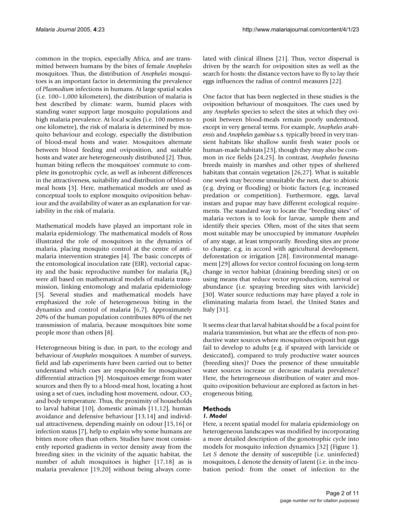common in the tropics, especially Africa, and are transmitted between humans by the bites of female *Anopheles* mosquitoes. Thus, the distribution of *Anopheles* mosquitoes is an important factor in determining the prevalence of *Plasmodium* infections in humans. At large spatial scales (i.e. 100–1,000 kilometers), the distribution of malaria is best described by climate: warm, humid places with standing water support large mosquito populations and high malaria prevalence. At local scales (i.e. 100 metres to one kilometre), the risk of malaria is determined by mosquito behaviour and ecology, especially the distribution of blood-meal hosts and water. Mosquitoes alternate between blood feeding and oviposition, and suitable hosts and water are heterogeneously distributed [[2](#page-10-0)]. Thus, human biting reflects the mosquitoes' commute to complete its gonotrophic cycle, as well as inherent differences in the attractiveness, suitability and distribution of bloodmeal hosts [3]. Here, mathematical models are used as conceptual tools to explore mosquito oviposition behaviour and the availability of water as an explanation for variability in the risk of malaria.

Mathematical models have played an important role in malaria epidemiology. The mathematical models of Ross illustrated the role of mosquitoes in the dynamics of malaria, placing mosquito control at the centre of antimalaria intervention strategies [4]. The basic concepts of the entomological inoculation rate (EIR), vectorial capacity and the basic reproductive number for malaria  $(R_0)$ were all based on mathematical models of malaria transmission, linking entomology and malaria epidemiology [5]. Several studies and mathematical models have emphasized the role of heterogeneous biting in the dynamics and control of malaria [6,7]. Approximately 20% of the human population contributes 80% of the net transmission of malaria, because mosquitoes bite some people more than others [8].

Heterogeneous biting is due, in part, to the ecology and behaviour of *Anopheles* mosquitoes. A number of surveys, field and lab experiments have been carried out to better understand which cues are responsible for mosquitoes' differential attraction [9]. Mosquitoes emerge from water sources and then fly to a blood-meal host, locating a host using a set of cues, including host movement, odour,  $CO<sub>2</sub>$ and body temperature. Thus, the proximity of households to larval habitat [10], domestic animals [11,12], human avoidance and defensive behaviour [13,14] and individual attractiveness, depending mainly on odour [15,16] or infection status [7], help to explain why some humans are bitten more often than others. Studies have most consistently reported gradients in vector density away from the breeding sites: in the vicinity of the aquatic habitat, the number of adult mosquitoes is higher [17,[18\]](#page-10-1) as is malaria prevalence [19,20] without being always correlated with clinical illness [21]. Thus, vector dispersal is driven by the search for oviposition sites as well as the search for hosts: the distance vectors have to fly to lay their eggs influences the radius of control measures [\[22\]](#page-10-2).

One factor that has been neglected in these studies is the oviposition behaviour of mosquitoes. The cues used by any *Anopheles* species to select the sites at which they oviposit between blood-meals remain poorly understood, except in very general terms. For example, *Anopheles arabiensis* and *Anopheles gambiae* s.s. typically breed in very transient habitats like shallow sunlit fresh water pools or human-made habitats [23], though they may also be common in rice fields [[24](#page-10-3),25]. In contrast, *Anopheles funestus* breeds mainly in marshes and other types of sheltered habitats that contain vegetation [26,27]. What is suitable one week may become unsuitable the next, due to abiotic (e.g. drying or flooding) or biotic factors (e.g. increased predation or competition). Furthermore, eggs, larval instars and pupae may have different ecological requirements. The standard way to locate the "breeding sites" of malaria vectors is to look for larvae, sample them and identify their species. Often, most of the sites that seem most suitable may be unoccupied by immature *Anopheles* of any stage, at least temporarily. Breeding sites are prone to change, e.g. in accord with agricultural development, deforestation or irrigation [28]. Environmental management [29] allows for vector control focusing on long-term change in vector habitat (draining breeding sites) or on using means that reduce vector reproduction, survival or abundance (i.e. spraying breeding sites with larvicide) [30]. Water source reductions may have played a role in eliminating malaria from Israel, the United States and Italy [31].

It seems clear that larval habitat should be a focal point for malaria transmission, but what are the effects of non-productive water sources where mosquitoes oviposit but eggs fail to develop to adults (e.g. if sprayed with larvicide or desiccated), compared to truly productive water sources (breeding sites)? Does the presence of these unsuitable water sources increase or decrease malaria prevalence? Here, the heterogeneous distribution of water and mosquito oviposition behaviour are explored as factors in heterogeneous biting.

## **Methods**

#### *1. Model*

Here, a recent spatial model for malaria epidemiology on heterogeneous landscapes was modified by incorporating a more detailed description of the gonotrophic cycle into models for mosquito infection dynamics [32] (Figure 1). Let *S* denote the density of susceptible (i.e. uninfected) mosquitoes, *L* denote the density of latent (i.e. in the incubation period: from the onset of infection to the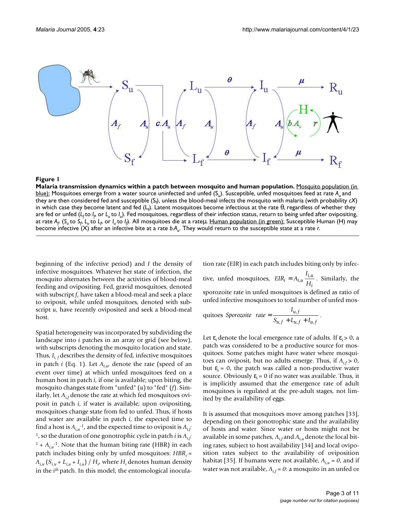

### Malaria transmission dynamics within a pa **Figure 1** tch between mosquito and human population

**Malaria transmission dynamics within a patch between mosquito and human population.** Mosquito population (in <u>blue):</u> Mosquitoes emerge from a water source uninfected and unfed (S<sub>u</sub>). Susceptible, unfed mosquitoes feed at rate A<sub>*u*</sub> and they are then considered fed and susceptible (S<sub>t</sub>), unless the blood-meal infects the mosquito with malaria (with probability cX) in which case they become latent and fed (L<sub>f</sub>). Latent mosquitoes become infectious at the rate θ, regardless of whether they are fed or unfed (L<sub>f</sub>to I<sub>f</sub>, or L<sub>u</sub> to I<sub>u</sub>). Fed mosquitoes, regardless of their infection status, return to being unfed after ovipositing, at rate A<sub>f</sub>. (S<sub>u</sub> to S<sub>f</sub>, L<sub>u</sub> to L<sub>f</sub>, or I<sub>u</sub> to I<sub>f</sub>). All mosquitoes die at a rateµ. <u>Human population (in green):</u> Susceptible Human (H) may become infective (X) after an infective bite at a rate *b*.*A<sup>u</sup>* . They would return to the susceptible state at a rate *r*.

beginning of the infective period) and *I* the density of infective mosquitoes. Whatever her state of infection, the mosquito alternates between the activities of blood-meal feeding and ovipositing. Fed, gravid mosquitoes, denoted with subscript *f*, have taken a blood-meal and seek a place to oviposit, while unfed mosquitoes, denoted with subscript *u*, have recently oviposited and seek a blood-meal host.

Spatial heterogeneity was incorporated by subdividing the landscape into *i* patches in an array or grid (see below), with subscripts denoting the mosquito location and state. Thus, *I i, f* describes the density of fed, infective mosquitoes in patch *i* (Eq. 1). Let *A<sup>i</sup>*,*<sup>u</sup>* , denote the rate (speed of an event over time) at which unfed mosquitoes feed on a human host in patch *i*, if one is available; upon biting, the mosquito changes state from "unfed" (*u*) to "fed" (*f*). Similarly, let *Ai*,*f* denote the rate at which fed mosquitoes oviposit in patch *i*, if water is available; upon ovipositing, mosquitoes change state from fed to unfed. Thus, if hosts and water are available in patch *i*, the expected time to find a host is  $A_{i,u}^{-1}$ , and the expected time to oviposit is  $A_{i,f}$ <sup>1</sup>, so the duration of one gonotrophic cycle in patch *i* is  $A_{i,f}$  $1 + A_{i,u}$ <sup>1</sup>. Note that the human biting rate (HBR) in each patch includes biting only by unfed mosquitoes: *HBRi* =  $A_{i,u}$  (S<sub>*i*,*u*</sub> + *L*<sub>*i*,*u*</sub>) /  $H_i$ , where  $H_i$  denotes human density in the *i<sup>th</sup>* patch. In this model, the entomological inoculation rate (EIR) in each patch includes biting only by infective, unfed mosquitoes,  $EIR_i = A_{i,u} \frac{I_{i,u}}{I_{i,u}}$ . Similarly, the sporozoite rate in unfed mosquitoes is defined as ratio of unfed infective mosquitoes to total number of unfed mos- $A_i = A_{i,u} \frac{I_{i,u}}{H_i}$  $= A_{i,u} \frac{I_{i,u}}{H_i}$ 

$$
quitoes Sporozoite \ \ rate = \frac{I_{u,f}}{S_{u,f} + L_{u,f} + I_{u,f}}.
$$

Let  $\varepsilon_i$  denote the local emergence rate of adults. If  $\varepsilon_i > 0$ , a patch was considered to be a productive source for mosquitoes. Some patches might have water where mosquitoes can oviposit, but no adults emerge. Thus, if  $A_{if} > 0$ , but  $\varepsilon_i = 0$ , the patch was called a non-productive water source. Obviously  $\varepsilon_i = 0$  if no water was available. Thus, it is implicitly assumed that the emergence rate of adult mosquitoes is regulated at the pre-adult stages, not limited by the availability of eggs.

It is assumed that mosquitoes move among patches [33], depending on their gonotrophic state and the availability of hosts and water. Since water or hosts might not be available in some patches, *Ai*,*f* and *Ai*,*u* denote the local biting rates, subject to host availability [34] and local oviposition rates subject to the availability of oviposition habitat [35]. If humans were not available, *A<sup>i</sup>*,*<sup>u</sup> = 0*, and if water was not available, *A<sup>i</sup>*,*<sup>f</sup> = 0*: a mosquito in an unfed or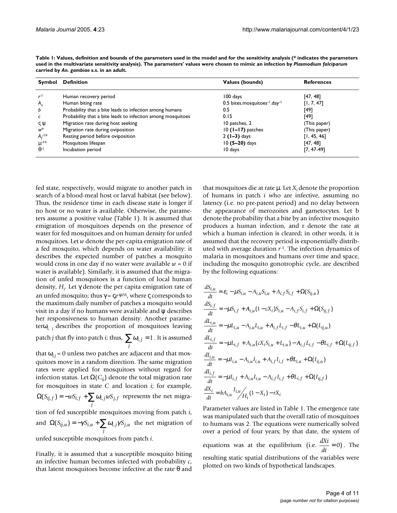| Symbol           | <b>Definition</b>                                           | Values (bounds)              | <b>References</b> |
|------------------|-------------------------------------------------------------|------------------------------|-------------------|
| r <sup>1</sup>   | Human recovery period                                       | 100 days                     | [47, 48]          |
| $A_{ii}$         | Human biting rate                                           | 0.5 bites.mosquitoes-1.day-1 | [1, 7, 47]        |
| b                | Probability that a bite leads to infection among humans     | 0.5                          | [49]              |
| c                | Probability that a bite leads to infection among mosquitoes | 0.15                         | [49]              |
| $\varsigma \Psi$ | Migration rate during host seeking                          | 10 patches, 2                | (This paper)      |
| w*               | Migration rate during oviposition                           | $10$ ( $1-17$ ) patches      | (This paper)      |
| $A_f^{-1*}$      | Resting period before oviposition                           | $2(1-3)$ days                | [1, 45, 46]       |
| $\mu$ -1*        | Mosquitoes lifespan                                         | $10(5-20)$ days              | [47, 48]          |
| $\theta$ -l      | Incubation period                                           | 10 days                      | $[7, 47-49]$      |

<span id="page-4-0"></span>**Table 1: Values, definition and bounds of the parameters used in the model and for the sensitivity analysis (\* indicates the parameters used in the multivariate sensitivity analysis). The parameters' values were chosen to mimic an infection by** *Plasmodium falciparum*  **carried by** *An. gambiae* **s.s. in an adult.**

fed state, respectively, would migrate to another patch in search of a blood-meal host or larval habitat (see below). Thus, the residence time in each disease state is longer if no host or no water is available. Otherwise, the parameters assume a positive value (Table [1](#page-4-0)). It is assumed that emigration of mosquitoes depends on the presence of water for fed mosquitoes and on human density for unfed mosquitoes. Let *w* denote the per-capita emigration rate of a fed mosquito, which depends on water availability: it describes the expected number of patches a mosquito would cross in one day if no water were available *w* = 0 if water is available). Similarly, it is assumed that the migration of unfed mosquitoes is a function of local human density, *H<sup>i</sup>* . Let γ denote the per capita emigration rate of an unfed mosquito; thus γ = ς*e<sup>-ψHi</sup>,* where ς corresponds to the maximum daily number of patches a mosquito would visit in a day if no humans were available and ψ describes her responsiveness to human density. Another parameterω*i, j* describes the proportion of mosquitoes leaving patch *j* that fly into patch *i*; thus,  $\sum \omega_{i,j} = 1$  . It is assumed  $\sum_j \omega_{i,j} = 1$ 

that  $\omega_{i,j} = 0$  unless two patches are adjacent and that mosquitoes move in a random direction. The same migration rates were applied for mosquitoes without regard for infection status. Let  $Ω(C<sub>ij</sub>)$  denote the total migration rate for mosquitoes in state *C* and location *i*; for example,  $\Omega(S_{ij, f}) = -wS_{i, f} + \sum \omega_{i, j}wS_{j, f}$  represents the net migra- $=-wS_{i,f} + \sum_j \omega_{i,j}wS_{j,f}$ 

tion of fed susceptible mosquitoes moving from patch *i*, and  $\Omega(S_{ij,u}) = -\gamma S_{i,u} + \sum \omega_{i,j} \gamma S_{j,u}$  the net migration of  $=-\gamma S_{i,u} + \sum_j \omega_{i,j} \gamma S_{j,u}$ 

unfed susceptible mosquitoes from patch *i*.

Finally, it is assumed that a susceptible mosquito biting an infective human becomes infected with probability *c*, that latent mosquitoes become infective at the rate θ and

that mosquitoes die at rate  $\mu$ . Let  $X_i$  denote the proportion of humans in patch *i* who are infective, assuming no latency (i.e. no pre-patent period) and no delay between the appearance of merozoites and gametocytes. Let b denote the probability that a bite by an infective mosquito produces a human infection, and r denote the rate at which a human infection is cleared; in other words, it is assumed that the recovery period is exponentially distributed with average duration  $r<sup>1</sup>$ . The infection dynamics of malaria in mosquitoes and humans over time and space, including the mosquito gonotrophic cycle, are described by the following equations:

$$
\frac{dS_{i,u}}{dt} = \varepsilon_i - \mu S_{i,u} - A_{i,u} S_{i,u} + A_{i,f} S_{i,f} + \Omega(S_{ij,u})
$$
\n
$$
\frac{dS_{i,f}}{dt} = -\mu S_{i,f} + A_{i,u} (1 - cX_i) S_{i,u} - A_{i,f} S_{i,f} + \Omega(S_{ij,f})
$$
\n
$$
\frac{dL_{i,u}}{dt} = -\mu L_{i,u} - A_{i,u} L_{i,u} + A_{i,f} L_{i,f} - \theta L_{i,u} + \Omega(L_{ij,u})
$$
\n
$$
\frac{dL_{i,f}}{dt} = -\mu L_{i,f} + A_{i,u} (cX_i S_{i,u} + L_{i,u}) - A_{i,f} L_{i,f} - \theta L_{i,f} + \Omega(L_{ij,f})
$$
\n
$$
\frac{dI_{i,u}}{dt} = -\mu I_{i,u} - A_{i,u} I_{i,u} + A_{i,f} I_{i,f} + \theta L_{i,u} + \Omega(I_{ij,u})
$$
\n
$$
\frac{dI_{i,f}}{dt} = -\mu I_{i,f} + A_{i,u} I_{i,u} - A_{i,f} I_{i,f} + \theta L_{i,f} + \Omega(I_{ij,f})
$$
\n
$$
\frac{dX_i}{dt} = bA_{i,u} \frac{I_{i,u}}{H_i} (1 - X_i) - rX_i
$$

Parameter values are listed in Table [1](#page-4-0). The emergence rate was manipulated such that the overall ratio of mosquitoes to humans was 2. The equations were numerically solved over a period of four years; by that date, the system of equations was at the equilibrium (i.e.  $\frac{dX_i}{dt} = 0$ ). The resulting static spatial distributions of the variables were plotted on two kinds of hypothetical landscapes.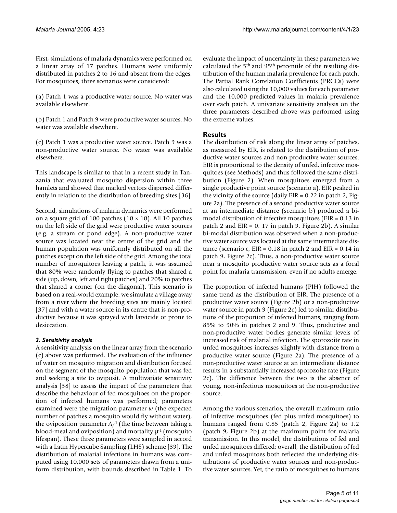First, simulations of malaria dynamics were performed on a linear array of 17 patches. Humans were uniformly distributed in patches 2 to 16 and absent from the edges. For mosquitoes, three scenarios were considered:

(a) Patch 1 was a productive water source. No water was available elsewhere.

(b) Patch 1 and Patch 9 were productive water sources. No water was available elsewhere.

(c) Patch 1 was a productive water source. Patch 9 was a non-productive water source. No water was available elsewhere.

This landscape is similar to that in a recent study in Tanzania that evaluated mosquito dispersion within three hamlets and showed that marked vectors dispersed differently in relation to the distribution of breeding sites [36].

Second, simulations of malaria dynamics were performed on a square grid of 100 patches  $(10 \times 10)$ . All 10 patches on the left side of the grid were productive water sources (e.g. a stream or pond edge). A non-productive water source was located near the centre of the grid and the human population was uniformly distributed on all the patches except on the left side of the grid. Among the total number of mosquitoes leaving a patch, it was assumed that 80% were randomly flying to patches that shared a side (up, down, left and right patches) and 20% to patches that shared a corner (on the diagonal). This scenario is based on a real-world example: we simulate a village away from a river where the breeding sites are mainly located [37] and with a water source in its centre that is non-productive because it was sprayed with larvicide or prone to desiccation.

#### *2. Sensitivity analysis*

A sensitivity analysis on the linear array from the scenario (c) above was performed. The evaluation of the influence of water on mosquito migration and distribution focused on the segment of the mosquito population that was fed and seeking a site to oviposit. A multivariate sensitivity analysis [38] to assess the impact of the parameters that describe the behaviour of fed mosquitoes on the proportion of infected humans was performed; parameters examined were the migration parameter *w* (the expected number of patches a mosquito would fly without water), the oviposition parameter  $A_f^{-1}$  (the time between taking a blood-meal and oviposition) and mortality  $\mu$ <sup>-1</sup> (mosquito lifespan). These three parameters were sampled in accord with a Latin Hypercube Sampling (LHS) scheme [39]. The distribution of malarial infections in humans was computed using 10,000 sets of parameters drawn from a uniform distribution, with bounds described in Table [1](#page-4-0). To evaluate the impact of uncertainty in these parameters we calculated the 5th and 95th percentile of the resulting distribution of the human malaria prevalence for each patch. The Partial Rank Correlation Coefficients (PRCCs) were also calculated using the 10,000 values for each parameter and the 10,000 predicted values in malaria prevalence over each patch. A univariate sensitivity analysis on the three parameters described above was performed using the extreme values.

#### **Results**

The distribution of risk along the linear array of patches, as measured by EIR, is related to the distribution of productive water sources and non-productive water sources. EIR is proportional to the density of unfed, infective mosquitoes (see Methods) and thus followed the same distribution (Figure [2\)](#page-6-0). When mosquitoes emerged from a single productive point source (scenario a), EIR peaked in the vicinity of the source (daily EIR = 0.22 in patch 2, Figure [2](#page-6-0)a). The presence of a second productive water source at an intermediate distance (scenario b) produced a bimodal distribution of infective mosquitoes (EIR = 0.13 in patch 2 and EIR = 0. 17 in patch 9, Figure [2b](#page-6-0)). A similar bi-modal distribution was observed when a non-productive water source was located at the same intermediate distance (scenario  $c$ , EIR = 0.18 in patch 2 and EIR = 0.14 in patch 9, Figure [2](#page-6-0)c). Thus, a non-productive water source near a mosquito productive water source acts as a focal point for malaria transmission, even if no adults emerge.

The proportion of infected humans (PIH) followed the same trend as the distribution of EIR. The presence of a productive water source (Figure [2](#page-6-0)b) or a non-productive water source in patch 9 (Figure [2c](#page-6-0)) led to similar distributions of the proportion of infected humans, ranging from 85% to 90% in patches 2 and 9. Thus, productive and non-productive water bodies generate similar levels of increased risk of malarial infection. The sporozoite rate in unfed mosquitoes increases slightly with distance from a productive water source (Figure [2a](#page-6-0)). The presence of a non-productive water source at an intermediate distance results in a substantially increased sporozoite rate (Figure [2](#page-6-0)c). The difference between the two is the absence of young, non-infectious mosquitoes at the non-productive source.

Among the various scenarios, the overall maximum ratio of infective mosquitoes (fed plus unfed mosquitoes) to humans ranged from 0.85 (patch 2, Figure [2](#page-6-0)a) to 1.2 (patch 9, Figure [2b](#page-6-0)) at the maximum point for malaria transmission. In this model, the distributions of fed and unfed mosquitoes differed; overall, the distribution of fed and unfed mosquitoes both reflected the underlying distributions of productive water sources and non-productive water sources. Yet, the ratio of mosquitoes to humans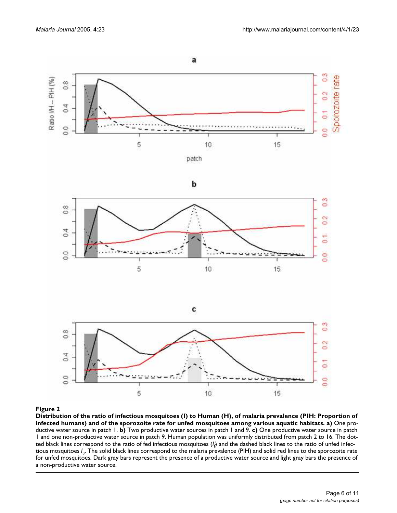<span id="page-6-0"></span>

#### Distribution of the ratio of infectious mosqui and of the sporozoite rate for unfed mo **Figure 2** squitoes among various aquatic habitats toes (I) to Human (H), of malaria prevalence (PIH: Proportion of infected humans)

**Distribution of the ratio of infectious mosquitoes (I) to Human (H), of malaria prevalence (PIH: Proportion of infected humans) and of the sporozoite rate for unfed mosquitoes among various aquatic habitats. a)** One productive water source in patch 1. **b)** Two productive water sources in patch 1 and 9. **c)** One productive water source in patch 1 and one non-productive water source in patch 9. Human population was uniformly distributed from patch 2 to 16. The dotted black lines correspond to the ratio of fed infectious mosquitoes (I<sub>f</sub>) and the dashed black lines to the ratio of unfed infectious mosquitoes *I u* . The solid black lines correspond to the malaria prevalence (PIH) and solid red lines to the sporozoite rate for unfed mosquitoes. Dark gray bars represent the presence of a productive water source and light gray bars the presence of a non-productive water source.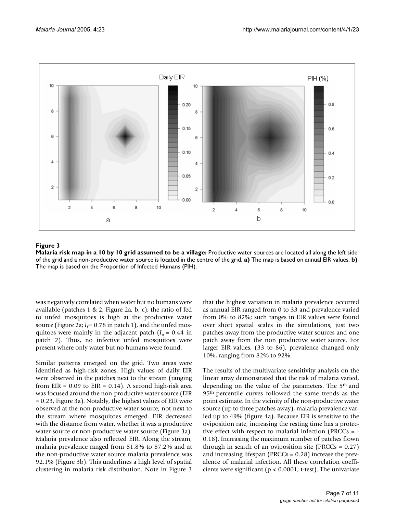

#### **Figure 3**

**Malaria risk map in a 10 by 10 grid assumed to be a village:** Productive water sources are located all along the left side of the grid and a non-productive water source is located in the centre of the grid. **a)** The map is based on annual EIR values. **b)**  The map is based on the Proportion of Infected Humans (PIH).

was negatively correlated when water but no humans were available (patches 1 & 2; Figure [2a](#page-6-0), b, c); the ratio of fed to unfed mosquitoes is high at the productive water source (Figure [2](#page-6-0)a;  $I_f$  = 0.78 in patch 1), and the unfed mosquitoes were mainly in the adjacent patch  $(I_u = 0.44$  in patch 2). Thus, no infective unfed mosquitoes were present where only water but no humans were found.

Similar patterns emerged on the grid. Two areas were identified as high-risk zones. High values of daily EIR were observed in the patches next to the stream (ranging from EIR =  $0.09$  to EIR =  $0.14$ ). A second high-risk area was focused around the non-productive water source (EIR = 0.23, Figure 3a). Notably, the highest values of EIR were observed at the non-productive water source, not next to the stream where mosquitoes emerged. EIR decreased with the distance from water, whether it was a productive water source or non-productive water source (Figure 3a). Malaria prevalence also reflected EIR. Along the stream, malaria prevalence ranged from 81.8% to 87.2% and at the non-productive water source malaria prevalence was 92.1% (Figure 3b). This underlines a high level of spatial clustering in malaria risk distribution. Note in Figure 3

that the highest variation in malaria prevalence occurred as annual EIR ranged from 0 to 33 and prevalence varied from 0% to 82%; such ranges in EIR values were found over short spatial scales in the simulations, just two patches away from the productive water sources and one patch away from the non productive water source. For larger EIR values, (33 to 86), prevalence changed only 10%, ranging from 82% to 92%.

The results of the multivariate sensitivity analysis on the linear array demonstrated that the risk of malaria varied, depending on the value of the parameters. The 5<sup>th</sup> and 95th percentile curves followed the same trends as the point estimate. In the vicinity of the non-productive water source (up to three patches away), malaria prevalence varied up to 49% (figure 4a). Because EIR is sensitive to the oviposition rate, increasing the resting time has a protective effect with respect to malarial infection (PRCCs = - 0.18). Increasing the maximum number of patches flown through in search of an oviposition site (PRCCs =  $0.27$ ) and increasing lifespan (PRCCs = 0.28) increase the prevalence of malarial infection. All these correlation coefficients were significant ( $p < 0.0001$ , t-test). The univariate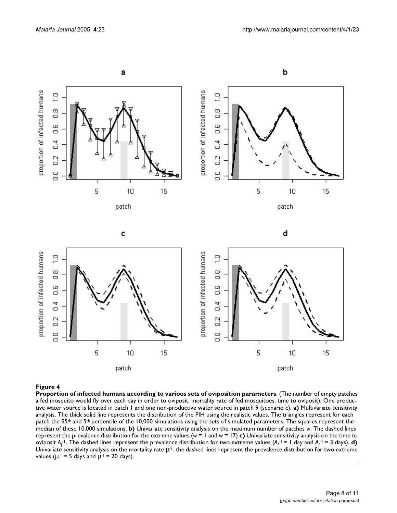

#### **Figure 4**

**Proportion of infected humans according to various sets of oviposition parameters**. (The number of empty patches a fed mosquito would fly over each day in order to oviposit, mortality rate of fed mosquitoes, time to oviposit): One productive water source is located in patch 1 and one non-productive water source in patch 9 (scenario c). **a)** Multivariate sensitivity analysis. The thick solid line represents the distribution of the PIH using the realistic values. The triangles represent for each patch the 95<sup>th</sup> and 5<sup>th</sup> percentile of the 10,000 simulations using the sets of simulated parameters. The squares represent the median of these 10,000 simulations. **b)** Univariate sensitivity analysis on the maximum number of patches *w*. The dashed lines represent the prevalence distribution for the extreme values (*w* = 1 and *w* = 17) **c)** Univariate sensitivity analysis on the time to oviposit  $A_f^{-1}$ . The dashed lines represent the prevalence distribution for two extreme values ( $A_f^{-1}$  = 1 day and  $A_f^{-1}$  = 3 days). **d)** Univariate sensitivity analysis on the mortality rate  $\mu$ -1: the dashed lines represent the prevalence distribution for two extreme values ( $\mu^{-1}$  = 5 days and  $\mu^{-1}$  = 20 days).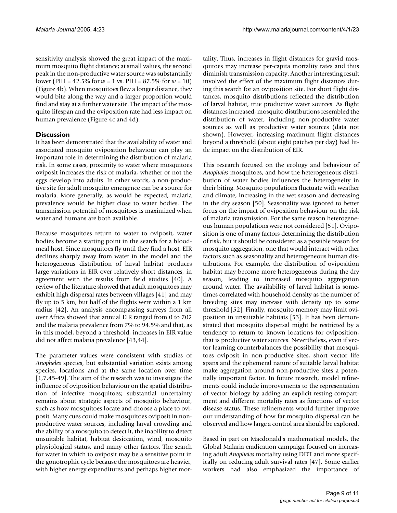sensitivity analysis showed the great impact of the maximum mosquito flight distance; at small values, the second peak in the non-productive water source was substantially lower (PIH = 42.5% for *w* = 1 vs. PIH = 87.5% for *w* = 10) (Figure 4b). When mosquitoes flew a longer distance, they would bite along the way and a larger proportion would find and stay at a further water site. The impact of the mosquito lifespan and the oviposition rate had less impact on human prevalence (Figure 4c and 4d).

## **Discussion**

It has been demonstrated that the availability of water and associated mosquito oviposition behaviour can play an important role in determining the distribution of malaria risk. In some cases, proximity to water where mosquitoes oviposit increases the risk of malaria, whether or not the eggs develop into adults. In other words, a non-productive site for adult mosquito emergence can be a source for malaria. More generally, as would be expected, malaria prevalence would be higher close to water bodies. The transmission potential of mosquitoes is maximized when water and humans are both available.

Because mosquitoes return to water to oviposit, water bodies become a starting point in the search for a bloodmeal host. Since mosquitoes fly until they find a host, EIR declines sharply away from water in the model and the heterogeneous distribution of larval habitat produces large variations in EIR over relatively short distances, in agreement with the results from field studies [40]. A review of the literature showed that adult mosquitoes may exhibit high dispersal rates between villages [\[41](#page-11-0)] and may fly up to 5 km, but half of the flights were within a 1 km radius [42]. An analysis encompassing surveys from all over Africa showed that annual EIR ranged from 0 to 702 and the malaria prevalence from 7% to 94.5% and that, as in this model, beyond a threshold, increases in EIR value did not affect malaria prevalence [[43,](#page-11-1)44].

The parameter values were consistent with studies of *Anopheles* species, but substantial variation exists among species, locations and at the same location over time [1,7,45-49]. The aim of the research was to investigate the influence of oviposition behaviour on the spatial distribution of infective mosquitoes; substantial uncertainty remains about strategic aspects of mosquito behaviour, such as how mosquitoes locate and choose a place to oviposit. Many cues could make mosquitoes oviposit in nonproductive water sources, including larval crowding and the ability of a mosquito to detect it, the inability to detect unsuitable habitat, habitat desiccation, wind, mosquito physiological status, and many other factors. The search for water in which to oviposit may be a sensitive point in the gonotrophic cycle because the mosquitoes are heavier, with higher energy expenditures and perhaps higher mortality. Thus, increases in flight distances for gravid mosquitoes may increase per-capita mortality rates and thus diminish transmission capacity. Another interesting result involved the effect of the maximum flight distances during this search for an oviposition site. For short flight distances, mosquito distributions reflected the distribution of larval habitat, true productive water sources. As flight distances increased, mosquito distributions resembled the distribution of water, including non-productive water sources as well as productive water sources (data not shown). However, increasing maximum flight distances beyond a threshold (about eight patches per day) had little impact on the distribution of EIR.

This research focused on the ecology and behaviour of *Anopheles* mosquitoes, and how the heterogeneous distribution of water bodies influences the heterogeneity in their biting. Mosquito populations fluctuate with weather and climate, increasing in the wet season and decreasing in the dry season [50]. Seasonality was ignored to better focus on the impact of oviposition behaviour on the risk of malaria transmission. For the same reason heterogeneous human populations were not considered [51]. Oviposition is one of many factors determining the distribution of risk, but it should be considered as a possible reason for mosquito aggregation, one that would interact with other factors such as seasonality and heterogeneous human distributions. For example, the distribution of oviposition habitat may become more heterogeneous during the dry season, leading to increased mosquito aggregation around water. The availability of larval habitat is sometimes correlated with household density as the number of breeding sites may increase with density up to some threshold [52]. Finally, mosquito memory may limit oviposition in unsuitable habitats [53]. It has been demonstrated that mosquito dispersal might be restricted by a tendency to return to known locations for oviposition, that is productive water sources. Nevertheless, even if vector learning counterbalances the possibility that mosquitoes oviposit in non-productive sites, short vector life spans and the ephemeral nature of suitable larval habitat make aggregation around non-productive sites a potentially important factor. In future research, model refinements could include improvements to the representation of vector biology by adding an explicit resting compartment and different mortality rates as functions of vector disease status. These refinements would further improve our understanding of how far mosquito dispersal can be observed and how large a control area should be explored.

Based in part on Macdonald's mathematical models, the Global Malaria eradication campaign focused on increasing adult *Anopheles* mortality using DDT and more specifically on reducing adult survival rates [47]. Some earlier workers had also emphasized the importance of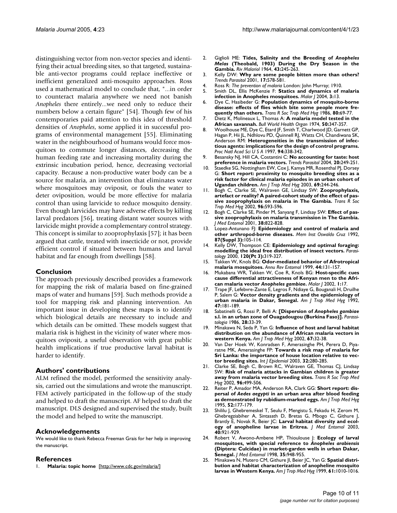distinguishing vector from non-vector species and identifying their actual breeding sites, so that targeted, sustainable anti-vector programs could replace ineffective or inefficient generalized anti-mosquito approaches. Ross used a mathematical model to conclude that, "...in order to counteract malaria anywhere we need not banish *Anopheles* there entirely...we need only to reduce their numbers below a certain figure" [54]. Though few of his contemporaries paid attention to this idea of threshold densities of *Anopheles*, some applied it in successful programs of environmental management [55]. Eliminating water in the neighbourhood of humans would force mosquitoes to commute longer distances, decreasing the human feeding rate and increasing mortality during the extrinsic incubation period, hence, decreasing vectorial capacity. Because a non-productive water body can be a source for malaria, an intervention that eliminates water where mosquitoes may oviposit, or fouls the water to deter oviposition, would be more effective for malaria control than using larvicide to reduce mosquito density. Even though larvicides may have adverse effects by killing larval predators [\[56](#page-11-2)], treating distant water sources with larvicide might provide a complementary control strategy. This concept is similar to zooprophylaxis [57]; it has been argued that cattle, treated with insecticide or not, provide efficient control if situated between humans and larval habitat and far enough from dwellings [58].

#### **Conclusion**

The approach previously described provides a framework for mapping the risk of malaria based on fine-grained maps of water and humans [59]. Such methods provide a tool for mapping risk and planning intervention. An important issue in developing these maps is to identify which biological details are necessary to include and which details can be omitted. These models suggest that malaria risk is highest in the vicinity of water where mosquitoes oviposit, a useful observation with great public health implications if true productive larval habitat is harder to identify.

#### **Authors' contributions**

ALM refined the model, performed the sensitivity analysis, carried out the simulations and wrote the manuscript. FEM actively participated in the follow-up of the study and helped to draft the manuscript. AF helped to draft the manuscript. DLS designed and supervised the study, built the model and helped to write the manuscript.

#### **Acknowledgements**

We would like to thank Rebecca Freeman Grais for her help in improving the manuscript.

#### **References**

Malaria: topic home [<http://www.cdc.gov/malaria/>]

- <span id="page-10-0"></span>2. Giglioli ME: **Tides, Salinity and the Breeding of** *Anopheles Melas* **[\(Theobald, 1903\) During the Dry Season in the](http://www.ncbi.nlm.nih.gov/entrez/query.fcgi?cmd=Retrieve&db=PubMed&dopt=Abstract&list_uids=14318979) [Gambia.](http://www.ncbi.nlm.nih.gov/entrez/query.fcgi?cmd=Retrieve&db=PubMed&dopt=Abstract&list_uids=14318979)** *Riv Malariol* 1964, **43:**245-263.
- 3. Kelly DW: **[Why are some people bitten more than others?](http://www.ncbi.nlm.nih.gov/entrez/query.fcgi?cmd=Retrieve&db=PubMed&dopt=Abstract&list_uids=11756041)** *Trends Parasitol* 2001, **17:**578-581.
- 4. Ross R: *The prevention of malaria* London: John Murray; 1910.
- 5. Smith DL, Ellis McKenzie F: **[Statics and dynamics of malaria](http://www.ncbi.nlm.nih.gov/entrez/query.fcgi?cmd=Retrieve&db=PubMed&dopt=Abstract&list_uids=15180900) [infection in Anopheles mosquitoes.](http://www.ncbi.nlm.nih.gov/entrez/query.fcgi?cmd=Retrieve&db=PubMed&dopt=Abstract&list_uids=15180900)** *Malar J* 2004, **3:**13.
- 6. Dye C, Hasibeder G: **[Population dynamics of mosquito-borne](http://www.ncbi.nlm.nih.gov/entrez/query.fcgi?cmd=Retrieve&db=PubMed&dopt=Abstract&list_uids=3727001) [disease: effects of flies which bite some people more fre](http://www.ncbi.nlm.nih.gov/entrez/query.fcgi?cmd=Retrieve&db=PubMed&dopt=Abstract&list_uids=3727001)[quently than others.](http://www.ncbi.nlm.nih.gov/entrez/query.fcgi?cmd=Retrieve&db=PubMed&dopt=Abstract&list_uids=3727001)** *Trans R Soc Trop Med Hyg* 1986, **80:**69-77.
- 7. Dietz K, Molineaux L, Thomas A: **[A malaria model tested in the](http://www.ncbi.nlm.nih.gov/entrez/query.fcgi?cmd=Retrieve&db=PubMed&dopt=Abstract&list_uids=4613512) [African savannah.](http://www.ncbi.nlm.nih.gov/entrez/query.fcgi?cmd=Retrieve&db=PubMed&dopt=Abstract&list_uids=4613512)** *Bull World Health Organ* 1974, **50:**347-357.
- 8. Woolhouse ME, Dye C, Etard JF, Smith T, Charlwood JD, Garnett GP, Hagan P, Hii JL, Ndhlovu PD, Quinnell RJ, Watts CH, Chandiwana SK, Anderson RM: **[Heterogeneities in the transmission of infec](http://www.ncbi.nlm.nih.gov/entrez/query.fcgi?cmd=Retrieve&db=PubMed&dopt=Abstract&list_uids=8990210)[tious agents: implications for the design of control programs.](http://www.ncbi.nlm.nih.gov/entrez/query.fcgi?cmd=Retrieve&db=PubMed&dopt=Abstract&list_uids=8990210)** *Proc Natl Acad Sci U S A* 1997, **94:**338-342.
- 9. Besansky NJ, Hill CA, Costantini C: **[No accounting for taste: host](http://www.ncbi.nlm.nih.gov/entrez/query.fcgi?cmd=Retrieve&db=PubMed&dopt=Abstract&list_uids=15147668) [preference in malaria vectors.](http://www.ncbi.nlm.nih.gov/entrez/query.fcgi?cmd=Retrieve&db=PubMed&dopt=Abstract&list_uids=15147668)** *Trends Parasitol* 2004, **20:**249-251.
- 10. Staedke SG, Nottingham EW, Cox J, Kamya MR, Rosenthal PJ, Dorsey G: **[Short report: proximity to mosquito breeding sites as a](http://www.ncbi.nlm.nih.gov/entrez/query.fcgi?cmd=Retrieve&db=PubMed&dopt=Abstract&list_uids=14628938) [risk factor for clinical malaria episodes in an urban cohort of](http://www.ncbi.nlm.nih.gov/entrez/query.fcgi?cmd=Retrieve&db=PubMed&dopt=Abstract&list_uids=14628938) [Ugandan children.](http://www.ncbi.nlm.nih.gov/entrez/query.fcgi?cmd=Retrieve&db=PubMed&dopt=Abstract&list_uids=14628938)** *Am J Trop Med Hyg* 2003, **69:**244-246.
- 11. Bogh C, Clarke SE, Walraven GE, Lindsay SW: **[Zooprophylaxis,](http://www.ncbi.nlm.nih.gov/entrez/query.fcgi?cmd=Retrieve&db=PubMed&dopt=Abstract&list_uids=12625129) [artefact or reality? A paired-cohort study of the effect of pas](http://www.ncbi.nlm.nih.gov/entrez/query.fcgi?cmd=Retrieve&db=PubMed&dopt=Abstract&list_uids=12625129)[sive zooprophylaxis on malaria in The Gambia.](http://www.ncbi.nlm.nih.gov/entrez/query.fcgi?cmd=Retrieve&db=PubMed&dopt=Abstract&list_uids=12625129)** *Trans R Soc Trop Med Hyg* 2002, **96:**593-596.
- 12. Bogh C, Clarke SE, Pinder M, Sanyang F, Lindsay SW: **[Effect of pas](http://www.ncbi.nlm.nih.gov/entrez/query.fcgi?cmd=Retrieve&db=PubMed&dopt=Abstract&list_uids=11761380)[sive zooprophylaxis on malaria transmission in The Gambia.](http://www.ncbi.nlm.nih.gov/entrez/query.fcgi?cmd=Retrieve&db=PubMed&dopt=Abstract&list_uids=11761380)** *J Med Entomol* 2001, **38:**822-828.
- 13. Lopez-Antunano FJ: **[Epidemiology and control of malaria and](http://www.ncbi.nlm.nih.gov/entrez/query.fcgi?cmd=Retrieve&db=PubMed&dopt=Abstract&list_uids=1343678) [other arthropod-borne diseases.](http://www.ncbi.nlm.nih.gov/entrez/query.fcgi?cmd=Retrieve&db=PubMed&dopt=Abstract&list_uids=1343678)** *Mem Inst Oswaldo Cruz* 1992, **87(Suppl 3):**105-114.
- 14. Kelly DW, Thompson CE: **[Epidemiology and optimal foraging:](http://www.ncbi.nlm.nih.gov/entrez/query.fcgi?cmd=Retrieve&db=PubMed&dopt=Abstract&list_uids=10759090) [modelling the ideal free distribution of insect vectors.](http://www.ncbi.nlm.nih.gov/entrez/query.fcgi?cmd=Retrieve&db=PubMed&dopt=Abstract&list_uids=10759090)** *Parasitology* 2000, **120(Pt 3):**319-327.
- 15. Takken W, Knols BG: **[Odor-mediated behavior of Afrotropical](http://www.ncbi.nlm.nih.gov/entrez/query.fcgi?cmd=Retrieve&db=PubMed&dopt=Abstract&list_uids=9990718) [malaria mosquitoes.](http://www.ncbi.nlm.nih.gov/entrez/query.fcgi?cmd=Retrieve&db=PubMed&dopt=Abstract&list_uids=9990718)** *Annu Rev Entomol* 1999, **44:**131-157.
- 16. Mukabana WR, Takken W, Coe R, Knols BG: **Host-specific cues cause differential attractiveness of Kenyan men to the African malaria vector** *Anopheles gambiae***[.](http://www.ncbi.nlm.nih.gov/entrez/query.fcgi?cmd=Retrieve&db=PubMed&dopt=Abstract&list_uids=12513703)** *Malar J* 2002, **1:**17.
- 17. Trape JF, Lefebvre-Zante E, Legros F, Ndiaye G, Bouganali H, Druilhe P, Salem G: **[Vector density gradients and the epidemiology of](http://www.ncbi.nlm.nih.gov/entrez/query.fcgi?cmd=Retrieve&db=PubMed&dopt=Abstract&list_uids=1354414) [urban malaria in Dakar, Senegal.](http://www.ncbi.nlm.nih.gov/entrez/query.fcgi?cmd=Retrieve&db=PubMed&dopt=Abstract&list_uids=1354414)** *Am J Trop Med Hyg* 1992, **47:**181-189.
- <span id="page-10-1"></span>18. Sabatinelli G, Rossi P, Belli A: **[Dispersion of** *Anopheles gambiae* **[s.l. in an urban zone of Ouagadougou \(Burkina Faso\)\].](http://www.ncbi.nlm.nih.gov/entrez/query.fcgi?cmd=Retrieve&db=PubMed&dopt=Abstract&list_uids=3455531)** *Parassitologia* 1986, **28:**33-39.
- 19. Minakawa N, Seda P, Yan G: **[Influence of host and larval habitat](http://www.ncbi.nlm.nih.gov/entrez/query.fcgi?cmd=Retrieve&db=PubMed&dopt=Abstract&list_uids=12363061) [distribution on the abundance of African malaria vectors in](http://www.ncbi.nlm.nih.gov/entrez/query.fcgi?cmd=Retrieve&db=PubMed&dopt=Abstract&list_uids=12363061) [western Kenya.](http://www.ncbi.nlm.nih.gov/entrez/query.fcgi?cmd=Retrieve&db=PubMed&dopt=Abstract&list_uids=12363061)** *Am J Trop Med Hyg* 2002, **67:**32-38.
- 20. Van Der Hoek W, Konradsen F, Amerasinghe PH, Perera D, Piyaratne MK, Amerasinghe FP: **[Towards a risk map of malaria for](http://www.ncbi.nlm.nih.gov/entrez/query.fcgi?cmd=Retrieve&db=PubMed&dopt=Abstract&list_uids=12714550) [Sri Lanka: the importance of house location relative to vec](http://www.ncbi.nlm.nih.gov/entrez/query.fcgi?cmd=Retrieve&db=PubMed&dopt=Abstract&list_uids=12714550)[tor breeding sites.](http://www.ncbi.nlm.nih.gov/entrez/query.fcgi?cmd=Retrieve&db=PubMed&dopt=Abstract&list_uids=12714550)** *Int J Epidemiol* 2003, **32:**280-285.
- 21. Clarke SE, Bogh C, Brown RC, Walraven GE, Thomas CJ, Lindsay SW: **[Risk of malaria attacks in Gambian children is greater](http://www.ncbi.nlm.nih.gov/entrez/query.fcgi?cmd=Retrieve&db=PubMed&dopt=Abstract&list_uids=12474476) [away from malaria vector breeding sites.](http://www.ncbi.nlm.nih.gov/entrez/query.fcgi?cmd=Retrieve&db=PubMed&dopt=Abstract&list_uids=12474476)** *Trans R Soc Trop Med Hyg* 2002, **96:**499-506.
- <span id="page-10-2"></span>22. Reiter P, Amador MA, Anderson RA, Clark GG: **Short report: dispersal of** *Aedes aegypti* **[in an urban area after blood feeding](http://www.ncbi.nlm.nih.gov/entrez/query.fcgi?cmd=Retrieve&db=PubMed&dopt=Abstract&list_uids=7872449) [as demonstrated by rubidium-marked eggs.](http://www.ncbi.nlm.nih.gov/entrez/query.fcgi?cmd=Retrieve&db=PubMed&dopt=Abstract&list_uids=7872449)** *Am J Trop Med Hyg* 1995, **52:**177-179.
- 23. Shililu J, Ghebremeskel T, Seulu F, Mengistu S, Fekadu H, Zerom M, Ghebregziabiher A, Sintasath D, Bretas G, Mbogo C, Githure J, Brantly E, Novak R, Beier JC: **[Larval habitat diversity and ecol](http://www.ncbi.nlm.nih.gov/entrez/query.fcgi?cmd=Retrieve&db=PubMed&dopt=Abstract&list_uids=14765671)[ogy of anopheline larvae in Eritrea.](http://www.ncbi.nlm.nih.gov/entrez/query.fcgi?cmd=Retrieve&db=PubMed&dopt=Abstract&list_uids=14765671)** *J Med Entomol* 2003, **40:**921-929.
- <span id="page-10-3"></span>24. Robert V, Awono-Ambene HP, Thioulouse J: **Ecology of larval mosquitoes, with special reference to** *Anopheles arabiensis* **[\(Diptera: Culcidae\) in market-garden wells in urban Dakar,](http://www.ncbi.nlm.nih.gov/entrez/query.fcgi?cmd=Retrieve&db=PubMed&dopt=Abstract&list_uids=9835685) [Senegal.](http://www.ncbi.nlm.nih.gov/entrez/query.fcgi?cmd=Retrieve&db=PubMed&dopt=Abstract&list_uids=9835685)** *J Med Entomol* 1998, **35:**948-955.
- 25. Minakawa N, Mutero CM, Githure JI, Beier JC, Yan G: **[Spatial distri](http://www.ncbi.nlm.nih.gov/entrez/query.fcgi?cmd=Retrieve&db=PubMed&dopt=Abstract&list_uids=10674687)[bution and habitat characterization of anopheline mosquito](http://www.ncbi.nlm.nih.gov/entrez/query.fcgi?cmd=Retrieve&db=PubMed&dopt=Abstract&list_uids=10674687) [larvae in Western Kenya.](http://www.ncbi.nlm.nih.gov/entrez/query.fcgi?cmd=Retrieve&db=PubMed&dopt=Abstract&list_uids=10674687)** *Am J Trop Med Hyg* 1999, **61:**1010-1016.